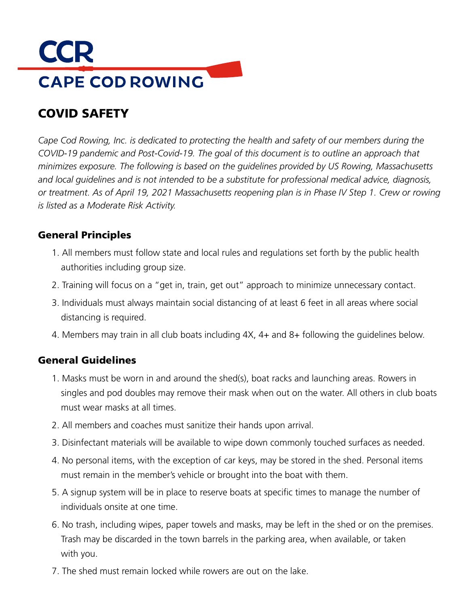# **CCR CAPE COD ROWING**

## COVID SAFETY

*Cape Cod Rowing, Inc. is dedicated to protecting the health and safety of our members during the COVID-19 pandemic and Post-Covid-19. The goal of this document is to outline an approach that minimizes exposure. The following is based on the guidelines provided by US Rowing, Massachusetts and local guidelines and is not intended to be a substitute for professional medical advice, diagnosis, or treatment. As of April 19, 2021 Massachusetts reopening plan is in Phase IV Step 1. Crew or rowing is listed as a Moderate Risk Activity.*

#### General Principles

- 1. All members must follow state and local rules and regulations set forth by the public health authorities including group size.
- 2. Training will focus on a "get in, train, get out" approach to minimize unnecessary contact.
- 3. Individuals must always maintain social distancing of at least 6 feet in all areas where social distancing is required.
- 4. Members may train in all club boats including 4X, 4+ and 8+ following the guidelines below.

#### General Guidelines

- 1. Masks must be worn in and around the shed(s), boat racks and launching areas. Rowers in singles and pod doubles may remove their mask when out on the water. All others in club boats must wear masks at all times.
- 2. All members and coaches must sanitize their hands upon arrival.
- 3. Disinfectant materials will be available to wipe down commonly touched surfaces as needed.
- 4. No personal items, with the exception of car keys, may be stored in the shed. Personal items must remain in the member's vehicle or brought into the boat with them.
- 5. A signup system will be in place to reserve boats at specific times to manage the number of individuals onsite at one time.
- 6. No trash, including wipes, paper towels and masks, may be left in the shed or on the premises. Trash may be discarded in the town barrels in the parking area, when available, or taken with you.
- 7. The shed must remain locked while rowers are out on the lake.